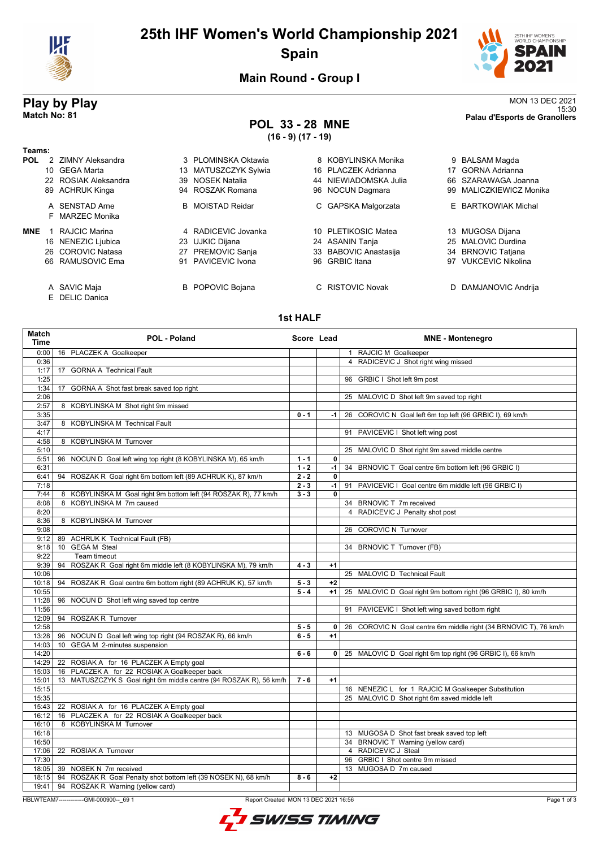

# **25th IHF Women's World Championship 2021 Spain**



**Main Round - Group I**

### **POL 33 - 28 MNE (16 - 9) (17 - 19)**

**Play by Play**<br>MON 13 DEC 2021<br>Palau d'Esports de Granollers<br>Palau d'Esports de Granollers 15:30 **Match No: 81 Palau d'Esports de Granollers**

| Teams:     |                      |                         |                          |     |                             |
|------------|----------------------|-------------------------|--------------------------|-----|-----------------------------|
| <b>POL</b> | 2 ZIMNY Aleksandra   | 3 PLOMINSKA Oktawia     | 8 KOBYLINSKA Monika      | 9   | BALSAM Magda                |
|            | 10 GEGA Marta        | 13 MATUSZCZYK Sylwia    | 16 PLACZEK Adrianna      |     | 17 GORNA Adrianna           |
|            | 22 ROSIAK Aleksandra | 39 NOSEK Natalia        | 44 NIEWIADOMSKA Julia    | 66. | SZARAWAGA Joanna            |
|            | 89 ACHRUK Kinga      | 94 ROSZAK Romana        | 96 NOCUN Dagmara         | 99. | <b>MALICZKIEWICZ Monika</b> |
|            | A SENSTAD Arne       | <b>B</b> MOISTAD Reidar | C GAPSKA Malgorzata      |     | E BARTKOWIAK Michal         |
|            | F MARZEC Monika      |                         |                          |     |                             |
| <b>MNE</b> | RAJCIC Marina        | 4 RADICEVIC Jovanka     | PLETIKOSIC Matea<br>10   | 13  | MUGOSA Dijana               |
|            | 16 NENEZIC Ljubica   | 23 UJKIC Dijana         | 24 ASANIN Tanja          |     | 25 MALOVIC Durdina          |
|            | 26 COROVIC Natasa    | 27 PREMOVIC Sanja       | 33 BABOVIC Anastasija    |     | 34 BRNOVIC Tatjana          |
|            | 66 RAMUSOVIC Ema     | 91 PAVICEVIC Ivona      | <b>GRBIC</b> Itana<br>96 | 97  | <b>VUKCEVIC Nikolina</b>    |
|            | A SAVIC Maja         | <b>B</b> POPOVIC Bojana | C RISTOVIC Novak         | D   | DAMJANOVIC Andrija          |

E DELIC Danica

**1st HALF**

| Match<br><b>Time</b> | POL - Poland                                                       | Score Lead         |              | <b>MNE - Montenegro</b>                                                          |
|----------------------|--------------------------------------------------------------------|--------------------|--------------|----------------------------------------------------------------------------------|
| 0:00                 | 16 PLACZEK A Goalkeeper                                            |                    |              | 1 RAJCIC M Goalkeeper                                                            |
| 0:36                 |                                                                    |                    |              | 4 RADICEVIC J Shot right wing missed                                             |
| 1:17                 | <b>GORNA A Technical Fault</b><br>17                               |                    |              |                                                                                  |
| 1:25                 |                                                                    |                    |              | 96 GRBIC I Shot left 9m post                                                     |
| 1:34                 | GORNA A Shot fast break saved top right<br>17                      |                    |              |                                                                                  |
| 2:06                 |                                                                    |                    |              | 25 MALOVIC D Shot left 9m saved top right                                        |
| 2:57                 | 8 KOBYLINSKA M Shot right 9m missed                                |                    |              |                                                                                  |
| 3:35                 |                                                                    | $0 - 1$            | -1 l         | 26 COROVIC N Goal left 6m top left (96 GRBIC I), 69 km/h                         |
| 3:47                 | 8 KOBYLINSKA M Technical Fault                                     |                    |              |                                                                                  |
| 4:17                 |                                                                    |                    |              | 91 PAVICEVIC I Shot left wing post                                               |
| 4:58                 | 8 KOBYLINSKA M Turnover                                            |                    |              |                                                                                  |
| 5:10                 |                                                                    |                    |              | 25 MALOVIC D Shot right 9m saved middle centre                                   |
| 5:51<br>6:31         | 96 NOCUN D Goal left wing top right (8 KOBYLINSKA M), 65 km/h      | $1 - 1$<br>$1 - 2$ | 0<br>-1 l    |                                                                                  |
| 6:41                 | 94 ROSZAK R Goal right 6m bottom left (89 ACHRUK K), 87 km/h       | $2 - 2$            | 0            | 34 BRNOVIC T Goal centre 6m bottom left (96 GRBIC I)                             |
| 7:18                 |                                                                    | $2 - 3$            | $-1$         | 91<br>PAVICEVIC I Goal centre 6m middle left (96 GRBIC I)                        |
| 7:44                 | 8 KOBYLINSKA M Goal right 9m bottom left (94 ROSZAK R), 77 km/h    | $3 - 3$            | 0            |                                                                                  |
| 8:08                 | 8 KOBYLINSKA M 7m caused                                           |                    |              | 34 BRNOVIC T 7m received                                                         |
| 8:20                 |                                                                    |                    |              | 4 RADICEVIC J Penalty shot post                                                  |
| 8:36                 | 8 KOBYLINSKA M Turnover                                            |                    |              |                                                                                  |
| 9:08                 |                                                                    |                    |              | 26 COROVIC N Turnover                                                            |
| 9:12                 | 89 ACHRUK K Technical Fault (FB)                                   |                    |              |                                                                                  |
| 9:18                 | 10 GEGA M Steal                                                    |                    |              | 34 BRNOVIC T Turnover (FB)                                                       |
| 9:22                 | Team timeout                                                       |                    |              |                                                                                  |
| 9:39                 | 94 ROSZAK R Goal right 6m middle left (8 KOBYLINSKA M), 79 km/h    | $4 - 3$            | $+1$         |                                                                                  |
| 10:06                |                                                                    |                    |              | 25 MALOVIC D Technical Fault                                                     |
| 10:18                | 94 ROSZAK R Goal centre 6m bottom right (89 ACHRUK K), 57 km/h     | $5 - 3$            | $+2$         |                                                                                  |
| 10:55                |                                                                    | $5 - 4$            | $+1$         | 25 MALOVIC D Goal right 9m bottom right (96 GRBIC I), 80 km/h                    |
| 11:28                | 96 NOCUN D Shot left wing saved top centre                         |                    |              |                                                                                  |
| 11:56                |                                                                    |                    |              | 91 PAVICEVIC I Shot left wing saved bottom right                                 |
| 12:09                | 94 ROSZAK R Turnover                                               |                    |              |                                                                                  |
| 12:58                |                                                                    | $5 - 5$            | $\mathbf{0}$ | 26 COROVIC N Goal centre 6m middle right (34 BRNOVIC T), 76 km/h                 |
| 13:28                | 96 NOCUN D Goal left wing top right (94 ROSZAK R), 66 km/h         | $6 - 5$            | $+1$         |                                                                                  |
| 14:03                | 10 GEGA M 2-minutes suspension                                     |                    |              |                                                                                  |
| 14:20                |                                                                    | $6 - 6$            | $\mathbf{0}$ | 25 MALOVIC D Goal right 6m top right (96 GRBIC I), 66 km/h                       |
| 14:29                | 22 ROSIAK A for 16 PLACZEK A Empty goal                            |                    |              |                                                                                  |
| 15:03                | 16 PLACZEK A for 22 ROSIAK A Goalkeeper back                       |                    |              |                                                                                  |
| 15:01                | 13 MATUSZCZYK S Goal right 6m middle centre (94 ROSZAK R), 56 km/h | $7 - 6$            | $+1$         |                                                                                  |
| 15:15                |                                                                    |                    |              | 16 NENEZIC L for 1 RAJCIC M Goalkeeper Substitution                              |
| 15:35                |                                                                    |                    |              | 25 MALOVIC D Shot right 6m saved middle left                                     |
| 15:43                | 22 ROSIAK A for 16 PLACZEK A Empty goal                            |                    |              |                                                                                  |
| 16:12                | 16 PLACZEK A for 22 ROSIAK A Goalkeeper back                       |                    |              |                                                                                  |
| 16:10<br>16:18       | 8 KOBYLINSKA M Turnover                                            |                    |              |                                                                                  |
| 16:50                |                                                                    |                    |              | 13 MUGOSA D Shot fast break saved top left<br>34 BRNOVIC T Warning (yellow card) |
| 17:06                | 22 ROSIAK A Turnover                                               |                    |              | 4 RADICEVIC J Steal                                                              |
| 17:30                |                                                                    |                    |              | 96 GRBIC I Shot centre 9m missed                                                 |
| 18:05                | 39 NOSEK N 7m received                                             |                    |              | 13 MUGOSA D 7m caused                                                            |
| 18:15                | 94 ROSZAK R Goal Penalty shot bottom left (39 NOSEK N), 68 km/h    | $8 - 6$            | $+2$         |                                                                                  |
| 19:41                | 94 ROSZAK R Warning (yellow card)                                  |                    |              |                                                                                  |
|                      |                                                                    |                    |              |                                                                                  |

HBLWTEAM7-------------GMI-000900--\_69 1 Report Created MON 13 DEC 2021 16:56

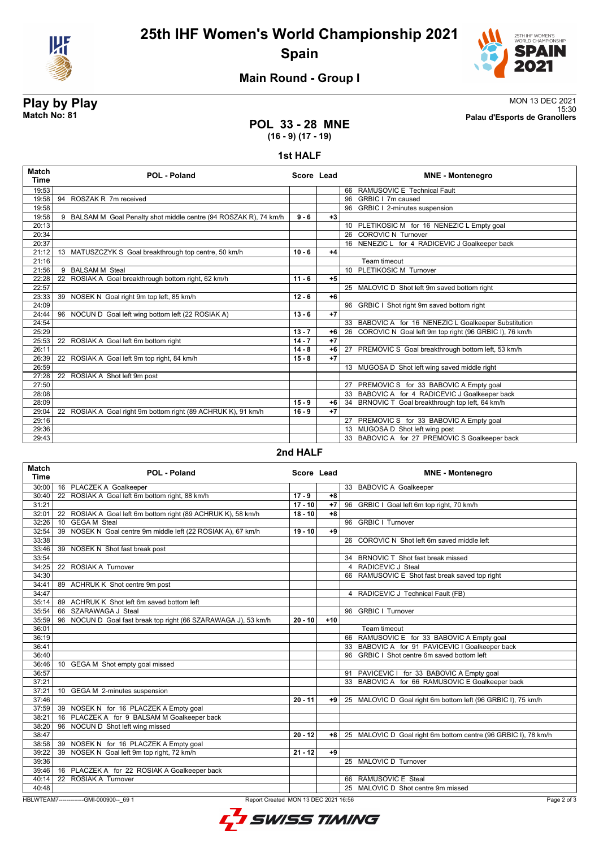

# **25th IHF Women's World Championship 2021 Spain**



## **Main Round - Group I**

# **POL 33 - 28 MNE**

**Play by Play**<br>MON 13 DEC 2021<br>Palau d'Esports de Granollers (15:30 15:30 **Match No: 81 Palau d'Esports de Granollers**

# **(16 - 9) (17 - 19)**

### **1st HALF**

| <b>Match</b><br><b>Time</b> | <b>POL - Poland</b>                                               | Score Lead |      | <b>MNE - Montenegro</b>                                   |
|-----------------------------|-------------------------------------------------------------------|------------|------|-----------------------------------------------------------|
| 19:53                       |                                                                   |            |      | 66 RAMUSOVIC E Technical Fault                            |
| 19:58                       | 94 ROSZAK R 7m received                                           |            |      | 96 GRBIC I 7m caused                                      |
| 19:58                       |                                                                   |            |      | 96 GRBIC I 2-minutes suspension                           |
| 19:58                       | 9 BALSAM M Goal Penalty shot middle centre (94 ROSZAK R), 74 km/h | $9 - 6$    | $+3$ |                                                           |
| 20:13                       |                                                                   |            |      | 10 PLETIKOSIC M for 16 NENEZIC L Empty goal               |
| 20:34                       |                                                                   |            |      | 26 COROVIC N Turnover                                     |
| 20:37                       |                                                                   |            |      | 16 NENEZIC L for 4 RADICEVIC J Goalkeeper back            |
| 21:12                       | 13 MATUSZCZYK S Goal breakthrough top centre, 50 km/h             | $10 - 6$   | $+4$ |                                                           |
| 21:16                       |                                                                   |            |      | Team timeout                                              |
| 21:56                       | 9 BALSAM M Steal                                                  |            |      | 10 PLETIKOSIC M Turnover                                  |
| 22:28                       | ROSIAK A Goal breakthrough bottom right, 62 km/h<br>22            | $11 - 6$   | $+5$ |                                                           |
| 22:57                       |                                                                   |            |      | 25 MALOVIC D Shot left 9m saved bottom right              |
| 23:33                       | 39 NOSEK N Goal right 9m top left, 85 km/h                        | $12 - 6$   | $+6$ |                                                           |
| 24:09                       |                                                                   |            |      | 96 GRBIC I Shot right 9m saved bottom right               |
| 24:44                       | 96 NOCUN D Goal left wing bottom left (22 ROSIAK A)               | $13 - 6$   | $+7$ |                                                           |
| 24:54                       |                                                                   |            |      | 33 BABOVIC A for 16 NENEZIC L Goalkeeper Substitution     |
| 25:29                       |                                                                   | $13 - 7$   | $+6$ | 26 COROVIC N Goal left 9m top right (96 GRBIC I), 76 km/h |
| 25:53                       | 22 ROSIAK A Goal left 6m bottom right                             | $14 - 7$   | $+7$ |                                                           |
| 26:11                       |                                                                   | $14 - 8$   | $+6$ | 27 PREMOVIC S Goal breakthrough bottom left, 53 km/h      |
| 26:39                       | 22 ROSIAK A Goal left 9m top right, 84 km/h                       | $15 - 8$   | $+7$ |                                                           |
| 26:59                       |                                                                   |            |      | 13 MUGOSA D Shot left wing saved middle right             |
| 27:28                       | 22 ROSIAK A Shot left 9m post                                     |            |      |                                                           |
| 27:50                       |                                                                   |            |      | 27 PREMOVIC S for 33 BABOVIC A Empty goal                 |
| 28:08                       |                                                                   |            |      | 33 BABOVIC A for 4 RADICEVIC J Goalkeeper back            |
| 28:09                       |                                                                   | $15 - 9$   | +6   | 34 BRNOVIC T Goal breakthrough top left, 64 km/h          |
| 29:04                       | 22 ROSIAK A Goal right 9m bottom right (89 ACHRUK K), 91 km/h     | $16 - 9$   | $+7$ |                                                           |
| 29:16                       |                                                                   |            |      | 27 PREMOVIC S for 33 BABOVIC A Empty goal                 |
| 29:36                       |                                                                   |            |      | 13 MUGOSA D Shot left wing post                           |
| 29:43                       |                                                                   |            |      | 33 BABOVIC A for 27 PREMOVIC S Goalkeeper back            |

### **2nd HALF**

| <b>Match</b><br><b>Time</b>                                                                   | <b>POL - Poland</b>                                            |           | Score Lead | <b>MNE - Montenegro</b>                                        |
|-----------------------------------------------------------------------------------------------|----------------------------------------------------------------|-----------|------------|----------------------------------------------------------------|
| 30:00                                                                                         | 16 PLACZEK A Goalkeeper                                        |           |            | 33 BABOVIC A Goalkeeper                                        |
| 30:40                                                                                         | 22 ROSIAK A Goal left 6m bottom right, 88 km/h                 | $17 - 9$  | $+8$       |                                                                |
| 31:21                                                                                         |                                                                | $17 - 10$ | $+7$       | 96 GRBIC I Goal left 6m top right, 70 km/h                     |
| 32:01                                                                                         | 22 ROSIAK A Goal left 6m bottom right (89 ACHRUK K), 58 km/h   | $18 - 10$ | $+8$       |                                                                |
| 32:26                                                                                         | 10 GEGA M Steal                                                |           |            | 96 GRBIC I Turnover                                            |
| 32:54                                                                                         | 39 NOSEK N Goal centre 9m middle left (22 ROSIAK A), 67 km/h   | $19 - 10$ | $+9$       |                                                                |
| 33:38                                                                                         |                                                                |           |            | 26 COROVIC N Shot left 6m saved middle left                    |
| 33:46                                                                                         | 39 NOSEK N Shot fast break post                                |           |            |                                                                |
| 33:54                                                                                         |                                                                |           |            | 34 BRNOVIC T Shot fast break missed                            |
| 34:25                                                                                         | 22 ROSIAK A Turnover                                           |           |            | RADICEVIC J Steal<br>$\overline{4}$                            |
| 34:30                                                                                         |                                                                |           |            | 66 RAMUSOVIC E Shot fast break saved top right                 |
| 34:41                                                                                         | 89 ACHRUK K Shot centre 9m post                                |           |            |                                                                |
| 34:47                                                                                         |                                                                |           |            | 4 RADICEVIC J Technical Fault (FB)                             |
| 35:14                                                                                         | 89 ACHRUK K Shot left 6m saved bottom left                     |           |            |                                                                |
| 35:54                                                                                         | 66 SZARAWAGA J Steal                                           |           |            | 96 GRBIC   Turnover                                            |
| 35:59                                                                                         | 96 NOCUN D Goal fast break top right (66 SZARAWAGA J), 53 km/h | $20 - 10$ | $+10$      |                                                                |
| 36:01                                                                                         |                                                                |           |            | Team timeout                                                   |
| 36:19                                                                                         |                                                                |           |            | 66 RAMUSOVIC E for 33 BABOVIC A Empty goal                     |
| 36:41                                                                                         |                                                                |           |            | 33 BABOVIC A for 91 PAVICEVIC I Goalkeeper back                |
| 36:40                                                                                         |                                                                |           |            | 96 GRBIC I Shot centre 6m saved bottom left                    |
| 36:46                                                                                         | 10 GEGA M Shot empty goal missed                               |           |            |                                                                |
| 36:57                                                                                         |                                                                |           |            | 91 PAVICEVIC I for 33 BABOVIC A Empty goal                     |
| 37:21                                                                                         |                                                                |           |            | 33 BABOVIC A for 66 RAMUSOVIC E Goalkeeper back                |
| 37:21                                                                                         | 10 GEGA M 2-minutes suspension                                 |           |            |                                                                |
| 37:46                                                                                         |                                                                | $20 - 11$ | +9         | 25 MALOVIC D Goal right 6m bottom left (96 GRBIC I), 75 km/h   |
|                                                                                               | 37:59 39 NOSEK N for 16 PLACZEK A Empty goal                   |           |            |                                                                |
| 38:21                                                                                         | 16 PLACZEK A for 9 BALSAM M Goalkeeper back                    |           |            |                                                                |
| 38:20                                                                                         | 96 NOCUN D Shot left wing missed                               |           |            |                                                                |
| 38:47                                                                                         |                                                                | $20 - 12$ | $+8$       | 25 MALOVIC D Goal right 6m bottom centre (96 GRBIC I), 78 km/h |
| 38:58                                                                                         | 39 NOSEK N for 16 PLACZEK A Empty goal                         |           |            |                                                                |
| 39:22                                                                                         | 39 NOSEK N Goal left 9m top right, 72 km/h                     | $21 - 12$ | +9         |                                                                |
| 39:36                                                                                         |                                                                |           |            | 25 MALOVIC D Turnover                                          |
| 39:46                                                                                         | 16 PLACZEK A for 22 ROSIAK A Goalkeeper back                   |           |            |                                                                |
| 40:14                                                                                         | 22 ROSIAK A Turnover                                           |           |            | 66 RAMUSOVIC E Steal                                           |
| 40:48                                                                                         |                                                                |           |            | 25 MALOVIC D Shot centre 9m missed                             |
| HBLWTEAM7--------------GMI-000900-- 69 1<br>Page 2 of<br>Report Created MON 13 DEC 2021 16:56 |                                                                |           |            |                                                                |